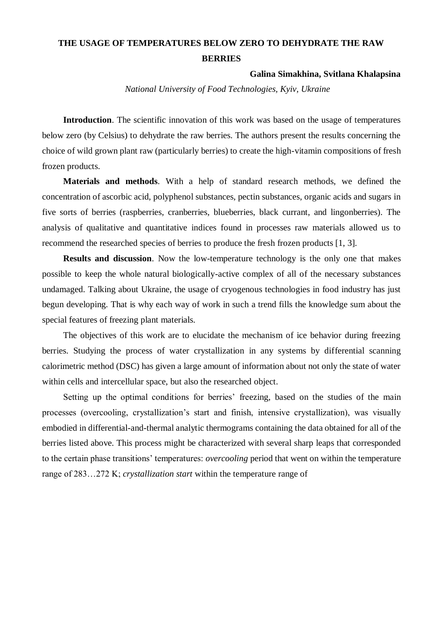## **THE USAGE OF TEMPERATURES BELOW ZERO TO DEHYDRATE THE RAW BERRIES**

## **Galina Simakhina, Svitlana Khalapsina**

*National University of Food Technologies, Kyiv, Ukraine*

Introduction. The scientific innovation of this work was based on the usage of temperatures below zero (by Celsius) to dehydrate the raw berries. The authors present the results concerning the choice of wild grown plant raw (particularly berries) to create the high-vitamin compositions of fresh frozen products.

**Materials and methods**. With a help of standard research methods, we defined the concentration of ascorbic acid, polyphenol substances, pectin substances, organic acids and sugars in five sorts of berries (raspberries, cranberries, blueberries, black currant, and lingonberries). The analysis of qualitative and quantitative indices found in processes raw materials allowed us to recommend the researched species of berries to produce the fresh frozen products [1, 3].

**Results and discussion**. Now the low-temperature technology is the only one that makes possible to keep the whole natural biologically-active complex of all of the necessary substances undamaged. Talking about Ukraine, the usage of cryogenous technologies in food industry has just begun developing. That is why each way of work in such a trend fills the knowledge sum about the special features of freezing plant materials.

The objectives of this work are to elucidate the mechanism of ice behavior during freezing berries. Studying the process of water crystallization in any systems by differential scanning calorimetric method (DSC) has given a large amount of information about not only the state of water within cells and intercellular space, but also the researched object.

Setting up the optimal conditions for berries' freezing, based on the studies of the main processes (overcooling, crystallization's start and finish, intensive crystallization), was visually embodied in differential-and-thermal analytic thermograms containing the data obtained for all of the berries listed above. This process might be characterized with several sharp leaps that corresponded to the certain phase transitions' temperatures: *overcooling* period that went on within the temperature range of 283…272 K; *crystallization start* within the temperature range of